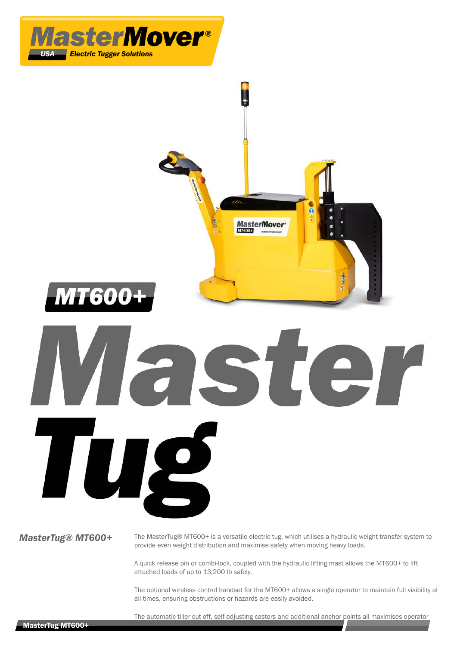

A quick release pin or combi-lock, coupled with the hydraulic lifting mast allows the MT600+ to lift attached loads of up to 13,200 lb safely.

The optional wireless control handset for the MT600+ allows a single operator to maintain full visibility at all times, ensuring obstructions or hazards are easily avoided.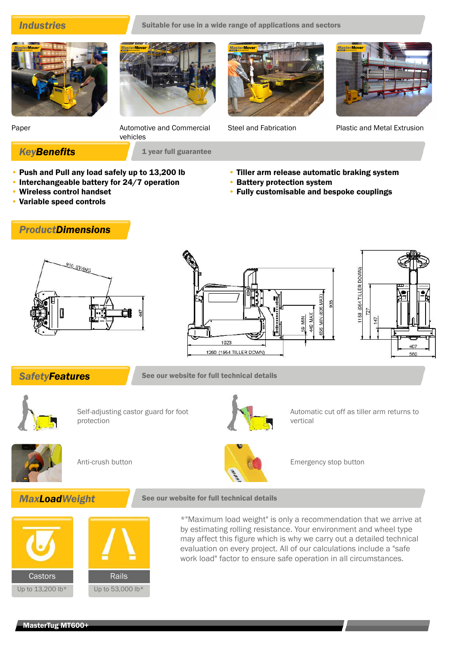## **Industries** Suitable for use in a wide range of applications and sectors

Paper **Automotive and Commercial** 

• Battery protection system

• Tiller arm release automatic braking system

• Fully customisable and bespoke couplings



Steel and Fabrication Plastic and Metal Extrusion

**KeyBenefits** 1 year full guarantee

• Push and Pull any load safely up to 13,200 lb

vehicles

- Interchangeable battery for 24/7 operation
- Wireless control handset
- Variable speed controls

# *ProductDimensions*







**SafetyFeatures** See our website for full technical details



Self-adjusting castor guard for foot protection



Automatic cut off as tiller arm returns to vertical





Anti-crush button **Emergency stop button** Emergency stop button





\*"Maximum load weight" is only a recommendation that we arrive at by estimating rolling resistance. Your environment and wheel type may affect this figure which is why we carry out a detailed technical evaluation on every project. All of our calculations include a "safe work load" factor to ensure safe operation in all circumstances.

#### MasterTug MT600+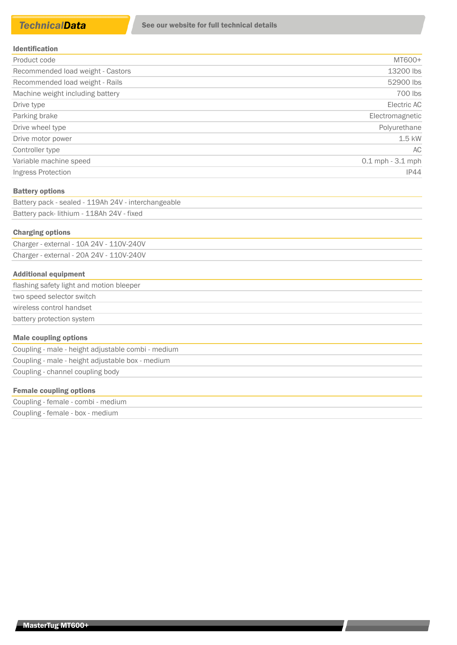| Product code                      | MT600+               |
|-----------------------------------|----------------------|
| Recommended load weight - Castors | 13200 lbs            |
| Recommended load weight - Rails   | 52900 lbs            |
| Machine weight including battery  | 700 lbs              |
| Drive type                        | Electric AC          |
| Parking brake                     | Electromagnetic      |
| Drive wheel type                  | Polyurethane         |
| Drive motor power                 | $1.5$ kW             |
| Controller type                   | AC.                  |
| Variable machine speed            | $0.1$ mph $-3.1$ mph |
| Ingress Protection                | IP44                 |

#### Battery options

| Battery pack - sealed - 119Ah 24V - interchangeable |  |
|-----------------------------------------------------|--|
| Battery pack- lithium - 118Ah 24V - fixed           |  |

#### Charging options

Charger - external - 10A 24V - 110V-240V Charger - external - 20A 24V - 110V-240V

### Additional equipment

| flashing safety light and motion bleeper |  |
|------------------------------------------|--|
| two speed selector switch                |  |
| wireless control handset                 |  |
| battery protection system                |  |
|                                          |  |

#### Male coupling options

Coupling - male - height adjustable combi - medium Coupling - male - height adjustable box - medium Coupling - channel coupling body

#### Female coupling options

| Coupling - female - combi - medium |  |
|------------------------------------|--|
| Coupling - female - box - medium   |  |